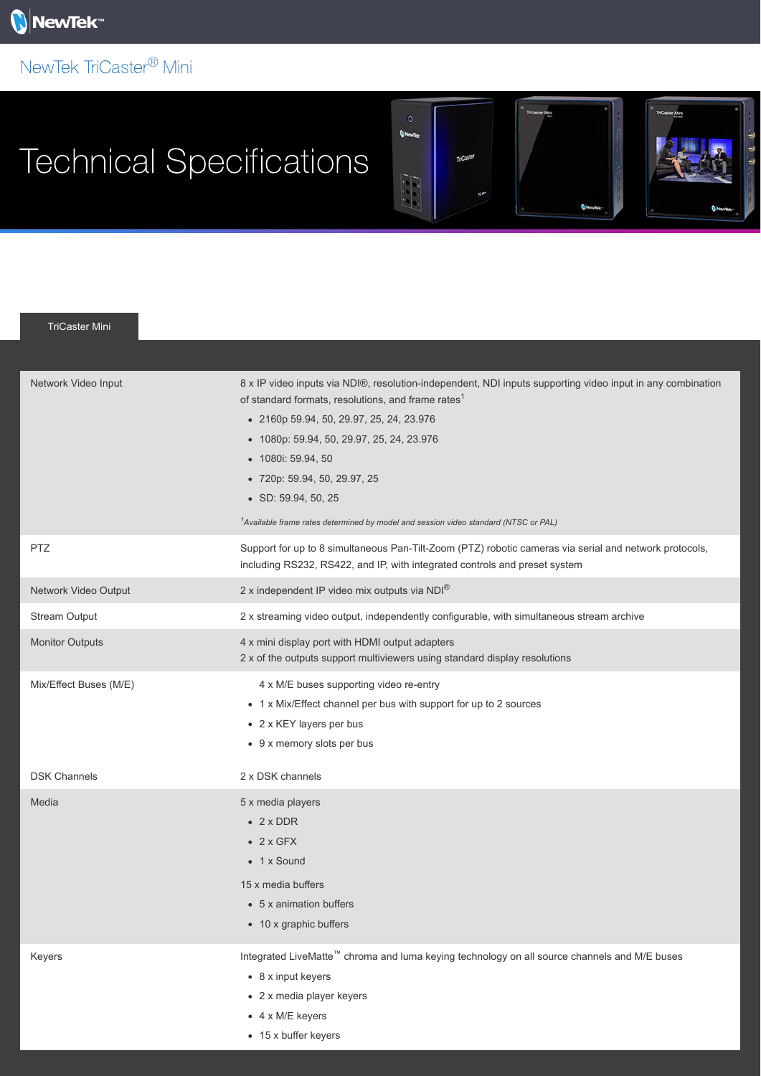## NewTek TriCaster<sup>®</sup> Mini

## Technical Specifications



÷

TriCaster Mini

| Network Video Input    | 8 x IP video inputs via NDI®, resolution-independent, NDI inputs supporting video input in any combination<br>of standard formats, resolutions, and frame rates <sup>1</sup><br>• 2160p 59.94, 50, 29.97, 25, 24, 23.976<br>• 1080p: 59.94, 50, 29.97, 25, 24, 23.976<br>• 1080i: 59.94, 50<br>• 720p: 59.94, 50, 29.97, 25<br>$\bullet$ SD: 59.94, 50, 25<br><sup>1</sup> Available frame rates determined by model and session video standard (NTSC or PAL) |
|------------------------|---------------------------------------------------------------------------------------------------------------------------------------------------------------------------------------------------------------------------------------------------------------------------------------------------------------------------------------------------------------------------------------------------------------------------------------------------------------|
| <b>PTZ</b>             | Support for up to 8 simultaneous Pan-Tilt-Zoom (PTZ) robotic cameras via serial and network protocols,<br>including RS232, RS422, and IP, with integrated controls and preset system                                                                                                                                                                                                                                                                          |
| Network Video Output   | 2 x independent IP video mix outputs via NDI®                                                                                                                                                                                                                                                                                                                                                                                                                 |
| <b>Stream Output</b>   | 2 x streaming video output, independently configurable, with simultaneous stream archive                                                                                                                                                                                                                                                                                                                                                                      |
| <b>Monitor Outputs</b> | 4 x mini display port with HDMI output adapters<br>2 x of the outputs support multiviewers using standard display resolutions                                                                                                                                                                                                                                                                                                                                 |
| Mix/Effect Buses (M/E) | 4 x M/E buses supporting video re-entry<br>• 1 x Mix/Effect channel per bus with support for up to 2 sources<br>• 2 x KEY layers per bus<br>• 9 x memory slots per bus                                                                                                                                                                                                                                                                                        |
| <b>DSK Channels</b>    | 2 x DSK channels                                                                                                                                                                                                                                                                                                                                                                                                                                              |
| Media                  | 5 x media players<br>$\bullet$ 2 x DDR<br>$\bullet$ 2 x GFX<br>• 1 x Sound<br>15 x media buffers<br>• 5 x animation buffers<br>• 10 x graphic buffers                                                                                                                                                                                                                                                                                                         |
| Keyers                 | Integrated LiveMatte <sup>™</sup> chroma and luma keying technology on all source channels and M/E buses<br>• 8 x input keyers<br>• 2 x media player keyers<br>$\bullet$ 4 x M/E keyers                                                                                                                                                                                                                                                                       |

• 15 x buffer keyers